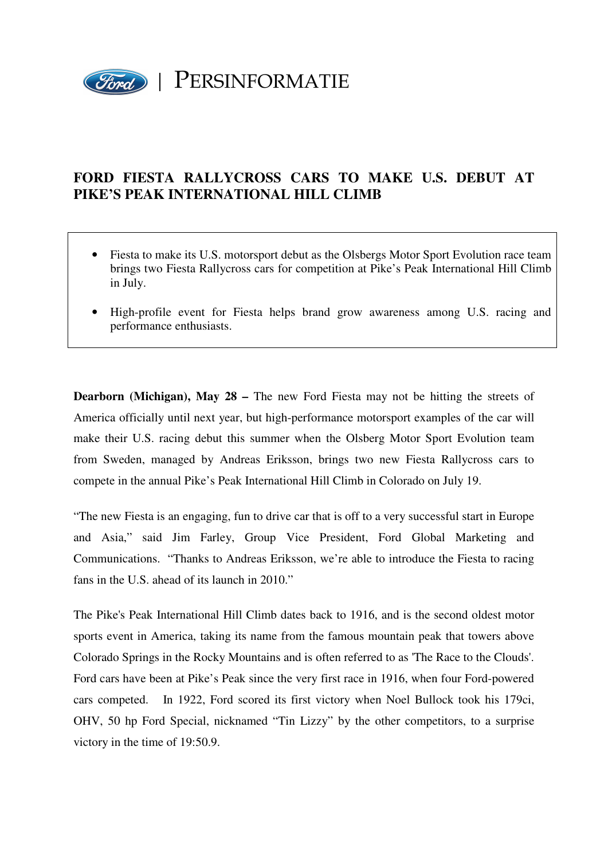

## **FORD FIESTA RALLYCROSS CARS TO MAKE U.S. DEBUT AT PIKE'S PEAK INTERNATIONAL HILL CLIMB**

- Fiesta to make its U.S. motorsport debut as the Olsbergs Motor Sport Evolution race team brings two Fiesta Rallycross cars for competition at Pike's Peak International Hill Climb in July.
- High-profile event for Fiesta helps brand grow awareness among U.S. racing and performance enthusiasts.

**Dearborn (Michigan), May 28 – The new Ford Fiesta may not be hitting the streets of** America officially until next year, but high-performance motorsport examples of the car will make their U.S. racing debut this summer when the Olsberg Motor Sport Evolution team from Sweden, managed by Andreas Eriksson, brings two new Fiesta Rallycross cars to compete in the annual Pike's Peak International Hill Climb in Colorado on July 19.

"The new Fiesta is an engaging, fun to drive car that is off to a very successful start in Europe and Asia," said Jim Farley, Group Vice President, Ford Global Marketing and Communications. "Thanks to Andreas Eriksson, we're able to introduce the Fiesta to racing fans in the U.S. ahead of its launch in 2010."

The Pike's Peak International Hill Climb dates back to 1916, and is the second oldest motor sports event in America, taking its name from the famous mountain peak that towers above Colorado Springs in the Rocky Mountains and is often referred to as 'The Race to the Clouds'. Ford cars have been at Pike's Peak since the very first race in 1916, when four Ford-powered cars competed. In 1922, Ford scored its first victory when Noel Bullock took his 179ci, OHV, 50 hp Ford Special, nicknamed "Tin Lizzy" by the other competitors, to a surprise victory in the time of 19:50.9.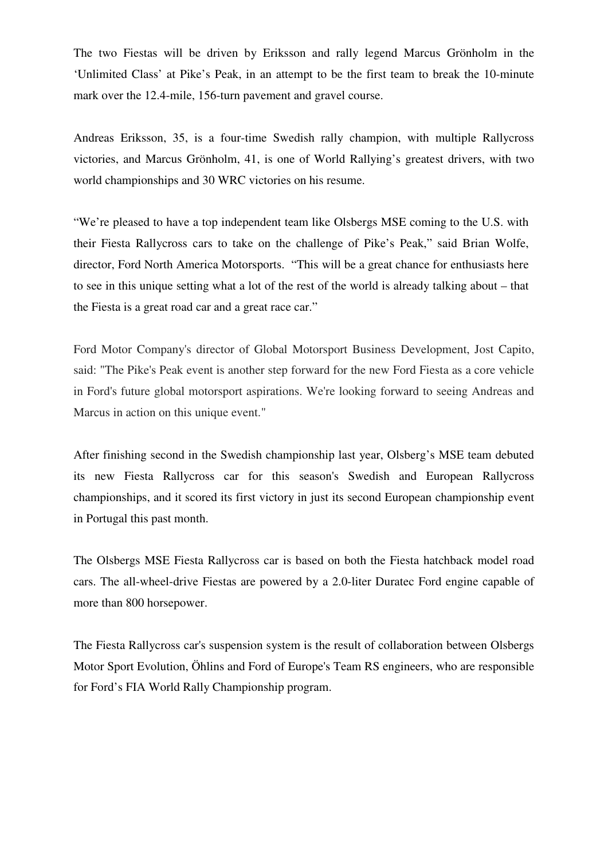The two Fiestas will be driven by Eriksson and rally legend Marcus Grönholm in the 'Unlimited Class' at Pike's Peak, in an attempt to be the first team to break the 10-minute mark over the 12.4-mile, 156-turn pavement and gravel course.

Andreas Eriksson, 35, is a four-time Swedish rally champion, with multiple Rallycross victories, and Marcus Grönholm, 41, is one of World Rallying's greatest drivers, with two world championships and 30 WRC victories on his resume.

"We're pleased to have a top independent team like Olsbergs MSE coming to the U.S. with their Fiesta Rallycross cars to take on the challenge of Pike's Peak," said Brian Wolfe, director, Ford North America Motorsports. "This will be a great chance for enthusiasts here to see in this unique setting what a lot of the rest of the world is already talking about – that the Fiesta is a great road car and a great race car."

Ford Motor Company's director of Global Motorsport Business Development, Jost Capito, said: "The Pike's Peak event is another step forward for the new Ford Fiesta as a core vehicle in Ford's future global motorsport aspirations. We're looking forward to seeing Andreas and Marcus in action on this unique event."

After finishing second in the Swedish championship last year, Olsberg's MSE team debuted its new Fiesta Rallycross car for this season's Swedish and European Rallycross championships, and it scored its first victory in just its second European championship event in Portugal this past month.

The Olsbergs MSE Fiesta Rallycross car is based on both the Fiesta hatchback model road cars. The all-wheel-drive Fiestas are powered by a 2.0-liter Duratec Ford engine capable of more than 800 horsepower.

The Fiesta Rallycross car's suspension system is the result of collaboration between Olsbergs Motor Sport Evolution, Öhlins and Ford of Europe's Team RS engineers, who are responsible for Ford's FIA World Rally Championship program.